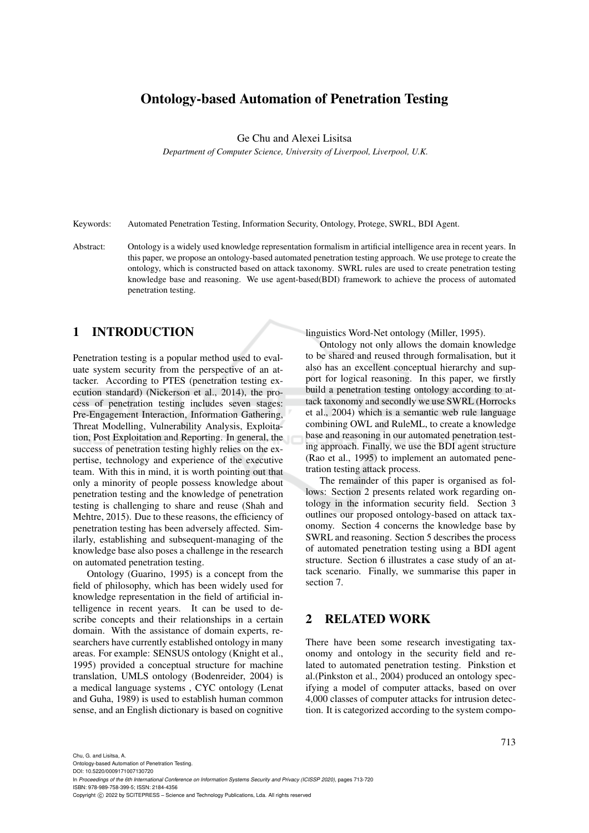# Ontology-based Automation of Penetration Testing

Ge Chu and Alexei Lisitsa

*Department of Computer Science, University of Liverpool, Liverpool, U.K.*

Keywords: Automated Penetration Testing, Information Security, Ontology, Protege, SWRL, BDI Agent.

Abstract: Ontology is a widely used knowledge representation formalism in artificial intelligence area in recent years. In this paper, we propose an ontology-based automated penetration testing approach. We use protege to create the ontology, which is constructed based on attack taxonomy. SWRL rules are used to create penetration testing knowledge base and reasoning. We use agent-based(BDI) framework to achieve the process of automated penetration testing.

# 1 INTRODUCTION

Penetration testing is a popular method used to evaluate system security from the perspective of an attacker. According to PTES (penetration testing execution standard) (Nickerson et al., 2014), the process of penetration testing includes seven stages: Pre-Engagement Interaction, Information Gathering, Threat Modelling, Vulnerability Analysis, Exploitation, Post Exploitation and Reporting. In general, the success of penetration testing highly relies on the expertise, technology and experience of the executive team. With this in mind, it is worth pointing out that only a minority of people possess knowledge about penetration testing and the knowledge of penetration testing is challenging to share and reuse (Shah and Mehtre, 2015). Due to these reasons, the efficiency of penetration testing has been adversely affected. Similarly, establishing and subsequent-managing of the knowledge base also poses a challenge in the research on automated penetration testing.

Ontology (Guarino, 1995) is a concept from the field of philosophy, which has been widely used for knowledge representation in the field of artificial intelligence in recent years. It can be used to describe concepts and their relationships in a certain domain. With the assistance of domain experts, researchers have currently established ontology in many areas. For example: SENSUS ontology (Knight et al., 1995) provided a conceptual structure for machine translation, UMLS ontology (Bodenreider, 2004) is a medical language systems , CYC ontology (Lenat and Guha, 1989) is used to establish human common sense, and an English dictionary is based on cognitive linguistics Word-Net ontology (Miller, 1995).

Ontology not only allows the domain knowledge to be shared and reused through formalisation, but it also has an excellent conceptual hierarchy and support for logical reasoning. In this paper, we firstly build a penetration testing ontology according to attack taxonomy and secondly we use SWRL (Horrocks et al., 2004) which is a semantic web rule language combining OWL and RuleML, to create a knowledge base and reasoning in our automated penetration testing approach. Finally, we use the BDI agent structure (Rao et al., 1995) to implement an automated penetration testing attack process.

The remainder of this paper is organised as follows: Section 2 presents related work regarding ontology in the information security field. Section 3 outlines our proposed ontology-based on attack taxonomy. Section 4 concerns the knowledge base by SWRL and reasoning. Section 5 describes the process of automated penetration testing using a BDI agent structure. Section 6 illustrates a case study of an attack scenario. Finally, we summarise this paper in section 7.

# 2 RELATED WORK

There have been some research investigating taxonomy and ontology in the security field and related to automated penetration testing. Pinkstion et al.(Pinkston et al., 2004) produced an ontology specifying a model of computer attacks, based on over 4,000 classes of computer attacks for intrusion detection. It is categorized according to the system compo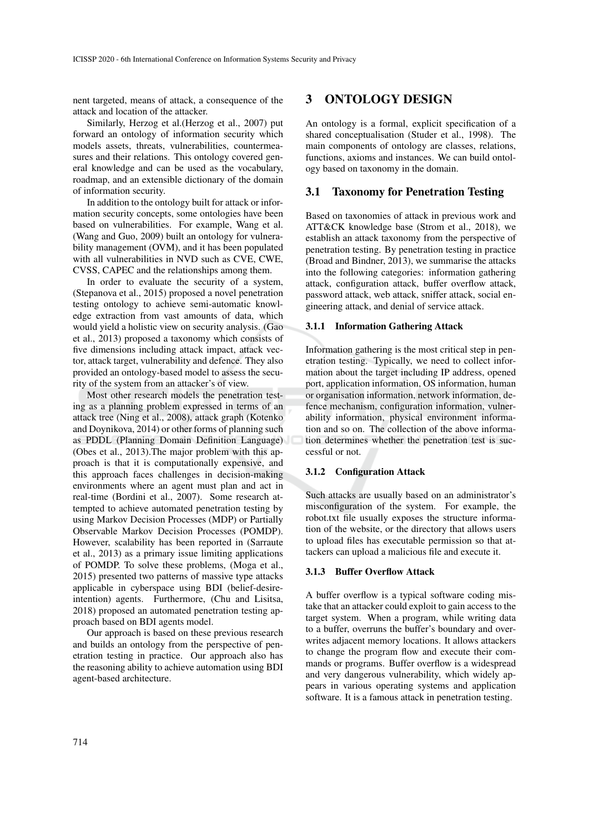nent targeted, means of attack, a consequence of the attack and location of the attacker.

Similarly, Herzog et al.(Herzog et al., 2007) put forward an ontology of information security which models assets, threats, vulnerabilities, countermeasures and their relations. This ontology covered general knowledge and can be used as the vocabulary, roadmap, and an extensible dictionary of the domain of information security.

In addition to the ontology built for attack or information security concepts, some ontologies have been based on vulnerabilities. For example, Wang et al. (Wang and Guo, 2009) built an ontology for vulnerability management (OVM), and it has been populated with all vulnerabilities in NVD such as CVE, CWE, CVSS, CAPEC and the relationships among them.

In order to evaluate the security of a system, (Stepanova et al., 2015) proposed a novel penetration testing ontology to achieve semi-automatic knowledge extraction from vast amounts of data, which would yield a holistic view on security analysis. (Gao et al., 2013) proposed a taxonomy which consists of five dimensions including attack impact, attack vector, attack target, vulnerability and defence. They also provided an ontology-based model to assess the security of the system from an attacker's of view.

Most other research models the penetration testing as a planning problem expressed in terms of an attack tree (Ning et al., 2008), attack graph (Kotenko and Doynikova, 2014) or other forms of planning such as PDDL (Planning Domain Definition Language) (Obes et al., 2013).The major problem with this approach is that it is computationally expensive, and this approach faces challenges in decision-making environments where an agent must plan and act in real-time (Bordini et al., 2007). Some research attempted to achieve automated penetration testing by using Markov Decision Processes (MDP) or Partially Observable Markov Decision Processes (POMDP). However, scalability has been reported in (Sarraute et al., 2013) as a primary issue limiting applications of POMDP. To solve these problems, (Moga et al., 2015) presented two patterns of massive type attacks applicable in cyberspace using BDI (belief-desireintention) agents. Furthermore, (Chu and Lisitsa, 2018) proposed an automated penetration testing approach based on BDI agents model.

Our approach is based on these previous research and builds an ontology from the perspective of penetration testing in practice. Our approach also has the reasoning ability to achieve automation using BDI agent-based architecture.

# 3 ONTOLOGY DESIGN

An ontology is a formal, explicit specification of a shared conceptualisation (Studer et al., 1998). The main components of ontology are classes, relations, functions, axioms and instances. We can build ontology based on taxonomy in the domain.

#### 3.1 Taxonomy for Penetration Testing

Based on taxonomies of attack in previous work and ATT&CK knowledge base (Strom et al., 2018), we establish an attack taxonomy from the perspective of penetration testing. By penetration testing in practice (Broad and Bindner, 2013), we summarise the attacks into the following categories: information gathering attack, configuration attack, buffer overflow attack, password attack, web attack, sniffer attack, social engineering attack, and denial of service attack.

#### 3.1.1 Information Gathering Attack

Information gathering is the most critical step in penetration testing. Typically, we need to collect information about the target including IP address, opened port, application information, OS information, human or organisation information, network information, defence mechanism, configuration information, vulnerability information, physical environment information and so on. The collection of the above information determines whether the penetration test is successful or not.

### 3.1.2 Configuration Attack

Such attacks are usually based on an administrator's misconfiguration of the system. For example, the robot.txt file usually exposes the structure information of the website, or the directory that allows users to upload files has executable permission so that attackers can upload a malicious file and execute it.

#### 3.1.3 Buffer Overflow Attack

A buffer overflow is a typical software coding mistake that an attacker could exploit to gain access to the target system. When a program, while writing data to a buffer, overruns the buffer's boundary and overwrites adjacent memory locations. It allows attackers to change the program flow and execute their commands or programs. Buffer overflow is a widespread and very dangerous vulnerability, which widely appears in various operating systems and application software. It is a famous attack in penetration testing.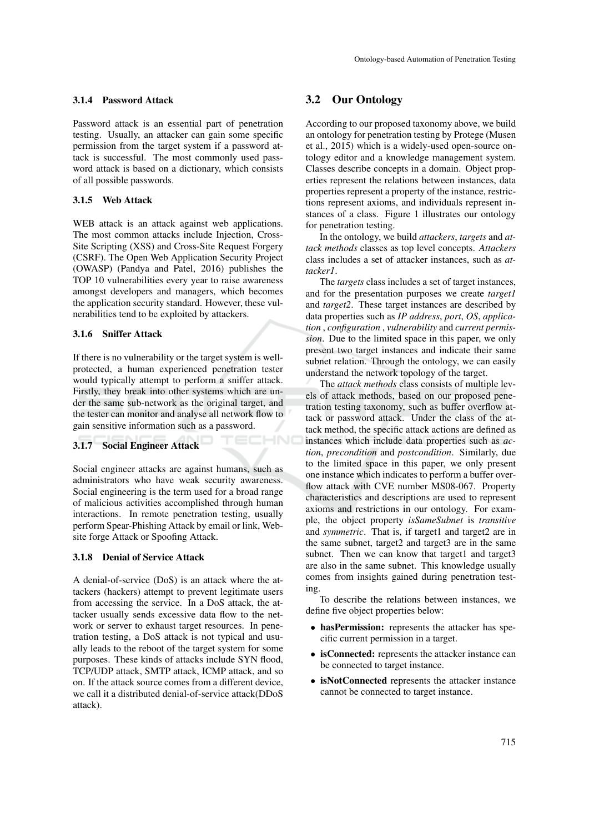### 3.1.4 Password Attack

Password attack is an essential part of penetration testing. Usually, an attacker can gain some specific permission from the target system if a password attack is successful. The most commonly used password attack is based on a dictionary, which consists of all possible passwords.

### 3.1.5 Web Attack

WEB attack is an attack against web applications. The most common attacks include Injection, Cross-Site Scripting (XSS) and Cross-Site Request Forgery (CSRF). The Open Web Application Security Project (OWASP) (Pandya and Patel, 2016) publishes the TOP 10 vulnerabilities every year to raise awareness amongst developers and managers, which becomes the application security standard. However, these vulnerabilities tend to be exploited by attackers.

#### 3.1.6 Sniffer Attack

If there is no vulnerability or the target system is wellprotected, a human experienced penetration tester would typically attempt to perform a sniffer attack. Firstly, they break into other systems which are under the same sub-network as the original target, and the tester can monitor and analyse all network flow to gain sensitive information such as a password.

ECHNO

### 3.1.7 Social Engineer Attack

Social engineer attacks are against humans, such as administrators who have weak security awareness. Social engineering is the term used for a broad range of malicious activities accomplished through human interactions. In remote penetration testing, usually perform Spear-Phishing Attack by email or link, Website forge Attack or Spoofing Attack.

#### 3.1.8 Denial of Service Attack

A denial-of-service (DoS) is an attack where the attackers (hackers) attempt to prevent legitimate users from accessing the service. In a DoS attack, the attacker usually sends excessive data flow to the network or server to exhaust target resources. In penetration testing, a DoS attack is not typical and usually leads to the reboot of the target system for some purposes. These kinds of attacks include SYN flood, TCP/UDP attack, SMTP attack, ICMP attack, and so on. If the attack source comes from a different device, we call it a distributed denial-of-service attack(DDoS attack).

### 3.2 Our Ontology

According to our proposed taxonomy above, we build an ontology for penetration testing by Protege (Musen et al., 2015) which is a widely-used open-source ontology editor and a knowledge management system. Classes describe concepts in a domain. Object properties represent the relations between instances, data properties represent a property of the instance, restrictions represent axioms, and individuals represent instances of a class. Figure 1 illustrates our ontology for penetration testing.

In the ontology, we build *attackers*, *targets* and *attack methods* classes as top level concepts. *Attackers* class includes a set of attacker instances, such as *attacker1*.

The *targets* class includes a set of target instances, and for the presentation purposes we create *target1* and *target2*. These target instances are described by data properties such as *IP address*, *port*, *OS*, *application* , *configuration* , *vulnerability* and *current permission*. Due to the limited space in this paper, we only present two target instances and indicate their same subnet relation. Through the ontology, we can easily understand the network topology of the target.

The *attack methods* class consists of multiple levels of attack methods, based on our proposed penetration testing taxonomy, such as buffer overflow attack or password attack. Under the class of the attack method, the specific attack actions are defined as instances which include data properties such as *action*, *precondition* and *postcondition*. Similarly, due to the limited space in this paper, we only present one instance which indicates to perform a buffer overflow attack with CVE number MS08-067. Property characteristics and descriptions are used to represent axioms and restrictions in our ontology. For example, the object property *isSameSubnet* is *transitive* and *symmetric*. That is, if target1 and target2 are in the same subnet, target2 and target3 are in the same subnet. Then we can know that target1 and target3 are also in the same subnet. This knowledge usually comes from insights gained during penetration testing.

To describe the relations between instances, we define five object properties below:

- hasPermission: represents the attacker has specific current permission in a target.
- isConnected: represents the attacker instance can be connected to target instance.
- isNotConnected represents the attacker instance cannot be connected to target instance.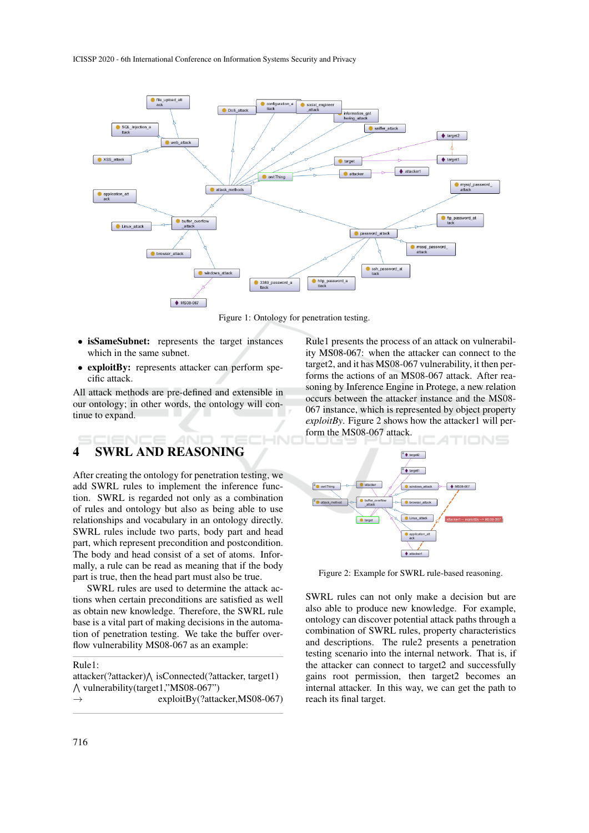

Figure 1: Ontology for penetration testing.

НN

- isSameSubnet: represents the target instances which in the same subnet.
- exploitBy: represents attacker can perform specific attack.

All attack methods are pre-defined and extensible in our ontology; in other words, the ontology will continue to expand.

# 4 SWRL AND REASONING

After creating the ontology for penetration testing, we add SWRL rules to implement the inference function. SWRL is regarded not only as a combination of rules and ontology but also as being able to use relationships and vocabulary in an ontology directly. SWRL rules include two parts, body part and head part, which represent precondition and postcondition. The body and head consist of a set of atoms. Informally, a rule can be read as meaning that if the body part is true, then the head part must also be true.

SWRL rules are used to determine the attack actions when certain preconditions are satisfied as well as obtain new knowledge. Therefore, the SWRL rule base is a vital part of making decisions in the automation of penetration testing. We take the buffer overflow vulnerability MS08-067 as an example:

#### Rule1:

|                                             | $attacker$ (?attacker) $\land$ is Connected(?attacker, target1) |
|---------------------------------------------|-----------------------------------------------------------------|
| $\wedge$ vulnerability (target1,"MS08-067") |                                                                 |
| $\rightarrow$                               | $exploitBv(?attacker, MS08-067)$                                |
|                                             |                                                                 |

Rule1 presents the process of an attack on vulnerability MS08-067: when the attacker can connect to the target2, and it has MS08-067 vulnerability, it then performs the actions of an MS08-067 attack. After reasoning by Inference Engine in Protege, a new relation occurs between the attacker instance and the MS08- 067 instance, which is represented by object property *exploitBy*. Figure 2 shows how the attacker1 will perform the MS08-067 attack.



Figure 2: Example for SWRL rule-based reasoning.

SWRL rules can not only make a decision but are also able to produce new knowledge. For example, ontology can discover potential attack paths through a combination of SWRL rules, property characteristics and descriptions. The rule2 presents a penetration testing scenario into the internal network. That is, if the attacker can connect to target2 and successfully gains root permission, then target2 becomes an internal attacker. In this way, we can get the path to reach its final target.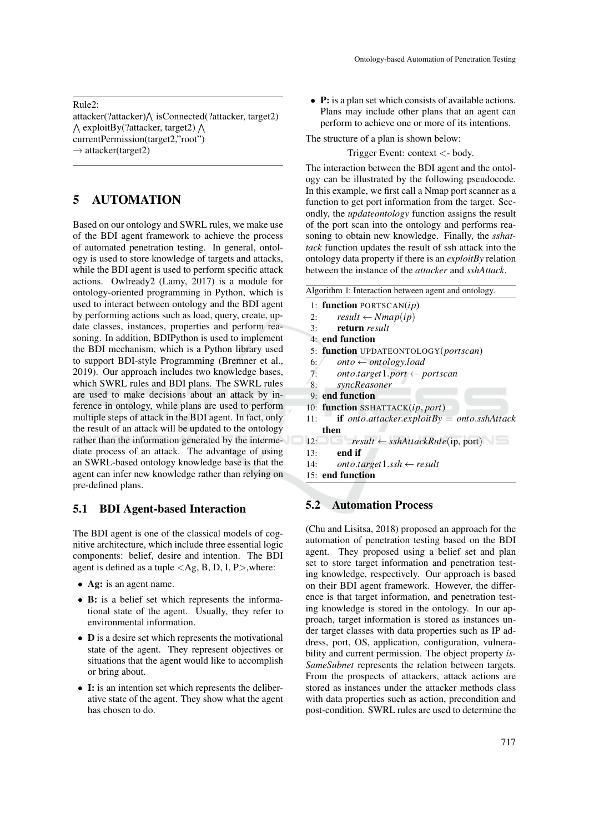Rule2:

attacker(?attacker) $\bigwedge$  isConnected(?attacker, target2)  $\wedge$  exploitBy(?attacker, target2)  $\wedge$ currentPermission(target2,"root")  $\rightarrow$  attacker(target2)

# 5 AUTOMATION

Based on our ontology and SWRL rules, we make use of the BDI agent framework to achieve the process of automated penetration testing. In general, ontology is used to store knowledge of targets and attacks, while the BDI agent is used to perform specific attack actions. Owlready2 (Lamy, 2017) is a module for ontology-oriented programming in Python, which is used to interact between ontology and the BDI agent by performing actions such as load, query, create, update classes, instances, properties and perform reasoning. In addition, BDIPython is used to implement the BDI mechanism, which is a Python library used to support BDI-style Programming (Bremner et al., 2019). Our approach includes two knowledge bases, which SWRL rules and BDI plans. The SWRL rules are used to make decisions about an attack by inference in ontology, while plans are used to perform multiple steps of attack in the BDI agent. In fact, only the result of an attack will be updated to the ontology rather than the information generated by the intermediate process of an attack. The advantage of using an SWRL-based ontology knowledge base is that the agent can infer new knowledge rather than relying on pre-defined plans.

### 5.1 BDI Agent-based Interaction

The BDI agent is one of the classical models of cognitive architecture, which include three essential logic components: belief, desire and intention. The BDI agent is defined as a tuple  $\langle Ag, B, D, I, P \rangle$ , where:

- Ag: is an agent name.
- B: is a belief set which represents the informational state of the agent. Usually, they refer to environmental information.
- **D** is a desire set which represents the motivational state of the agent. They represent objectives or situations that the agent would like to accomplish or bring about.
- I: is an intention set which represents the deliberative state of the agent. They show what the agent has chosen to do.

• P: is a plan set which consists of available actions. Plans may include other plans that an agent can perform to achieve one or more of its intentions.

The structure of a plan is shown below:

Trigger Event: context <- body.

The interaction between the BDI agent and the ontology can be illustrated by the following pseudocode. In this example, we first call a Nmap port scanner as a function to get port information from the target. Secondly, the *updateontology* function assigns the result of the port scan into the ontology and performs reasoning to obtain new knowledge. Finally, the *sshattack* function updates the result of ssh attack into the ontology data property if there is an *exploitBy* relation between the instance of the *attacker* and *sshAttack*.

|     | Algorithm 1: Interaction between agent and ontology.         |
|-----|--------------------------------------------------------------|
|     | 1: function PORTSCAN $(ip)$                                  |
| 2:  | $result \leftarrow Nmap(ip)$                                 |
| 3:  | return result                                                |
|     | 4: end function                                              |
|     | 5: function UPDATEONTOLOGY(portscan)                         |
| 6:  | $onto \leftarrow ontology.load$                              |
| 7:  | $onto.target1port \leftarrow portscan$                       |
| 8:  | syncReasoner                                                 |
|     | 9: end function                                              |
|     | 10: function SSHATTACK(ip, port)                             |
| 11: | if onto attacker.exploitBy = onto sshAttack                  |
|     | then                                                         |
| 12: | <b>Example 1</b> result $\leftarrow$ sshAttackRule(ip, port) |
| 13: | end if                                                       |
| 14: | $onto.target1.ssh \leftarrow result$                         |
|     | 15: end function                                             |
|     |                                                              |

# 5.2 Automation Process

(Chu and Lisitsa, 2018) proposed an approach for the automation of penetration testing based on the BDI agent. They proposed using a belief set and plan set to store target information and penetration testing knowledge, respectively. Our approach is based on their BDI agent framework. However, the difference is that target information, and penetration testing knowledge is stored in the ontology. In our approach, target information is stored as instances under target classes with data properties such as IP address, port, OS, application, configuration, vulnerability and current permission. The object property *is-SameSubnet* represents the relation between targets. From the prospects of attackers, attack actions are stored as instances under the attacker methods class with data properties such as action, precondition and post-condition. SWRL rules are used to determine the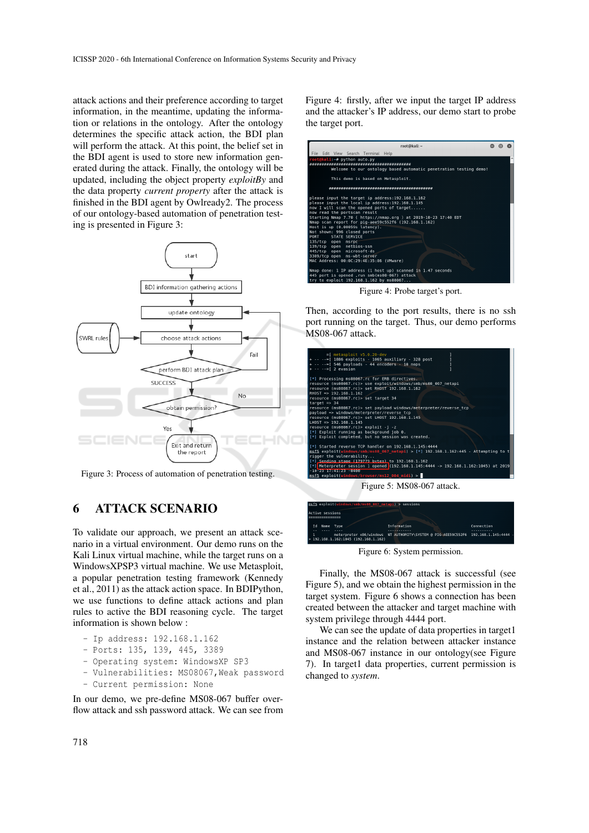attack actions and their preference according to target information, in the meantime, updating the information or relations in the ontology. After the ontology determines the specific attack action, the BDI plan will perform the attack. At this point, the belief set in the BDI agent is used to store new information generated during the attack. Finally, the ontology will be updated, including the object property *exploitBy* and the data property *current property* after the attack is finished in the BDI agent by Owlready2. The process of our ontology-based automation of penetration testing is presented in Figure 3:



Figure 3: Process of automation of penetration testing.

# 6 ATTACK SCENARIO

To validate our approach, we present an attack scenario in a virtual environment. Our demo runs on the Kali Linux virtual machine, while the target runs on a WindowsXPSP3 virtual machine. We use Metasploit, a popular penetration testing framework (Kennedy et al., 2011) as the attack action space. In BDIPython, we use functions to define attack actions and plan rules to active the BDI reasoning cycle. The target information is shown below :

- Ip address: 192.168.1.162
- Ports: 135, 139, 445, 3389
- Operating system: WindowsXP SP3
- Vulnerabilities: MS08067, Weak password
- Current permission: None

In our demo, we pre-define MS08-067 buffer overflow attack and ssh password attack. We can see from Figure 4: firstly, after we input the target IP address and the attacker's IP address, our demo start to probe the target port.

| root@kali:~                                                       |  |  |
|-------------------------------------------------------------------|--|--|
| Edit View Search Terminal Help<br><b>File</b>                     |  |  |
| root@kali:~# python auto.py                                       |  |  |
|                                                                   |  |  |
| Welcome to our ontology based automatic penetration testing demo! |  |  |
| This demo is based on Metasploit.                                 |  |  |
|                                                                   |  |  |
| please input the target ip address: 192.168.1.162                 |  |  |
| please input the local ip address: 192.168.1.145                  |  |  |
| now I will scan the opened ports of target                        |  |  |
| now read the portscan result                                      |  |  |
| Starting Nmap 7.70 ( https://nmap.org ) at 2019-10-23 17:40 EDT   |  |  |
| Nmap scan report for pig-aee59c552f6 (192.168.1.162)              |  |  |
| Host is up (0.00059s latency).                                    |  |  |
| Not shown: 996 closed ports                                       |  |  |
| PORT<br>STATE SERVICE                                             |  |  |
| 135/tcp open msrpc                                                |  |  |
| 139/tcp open netbios-ssn                                          |  |  |
| 445/tcp open microsoft-ds                                         |  |  |
| 3389/tcp open ms-wbt-server                                       |  |  |
| MAC Address: 00:0C:29:4E:35:86 (VMware)                           |  |  |
| Nmap done: 1 IP address (1 host up) scanned in 1.47 seconds       |  |  |
| 445 port is opened , run smb(ms08-067) attack                     |  |  |
| try to exploit 192.168.1.162 by ms08067                           |  |  |

Figure 4: Probe target's port.

Then, according to the port results, there is no ssh port running on the target. Thus, our demo performs MS08-067 attack.

| $=$ [ metasploit $v5.0.20$ -dev<br>+  .= [ 1886 exploits - 1065 auxiliary - 328 post<br>$+ \cdot \cdot \cdot = [546$ payloads - 44 encoders - 10 nops<br>$+ - - - = 2$ evasion                                                                                                                                                                                                                              |
|-------------------------------------------------------------------------------------------------------------------------------------------------------------------------------------------------------------------------------------------------------------------------------------------------------------------------------------------------------------------------------------------------------------|
| [*] Processing ms08067.rc for ERB directives.<br>resource (ms08067.rc)> use exploit/windows/smb/ms08 067 netapi<br>resource (ms08067.rc)> set RHOST 192.168.1.162<br>RHOST => 192.168.1.162<br>resource (ms08067.rc)> set target 34<br>target $\Rightarrow$ 34                                                                                                                                              |
| resource (ms08067.rc)> set payload windows/meterpreter/reverse tcp<br>payload => windows/meterpreter/reverse tcp<br>resource (ms08067.rc)> set LHOST 192.168.1.145<br>$L$ HOST => 192.168.1.145<br>resource (ms08067.rc) > exploit $-i$ -z<br>[*] Exploit running as background job 0.                                                                                                                      |
| [*] Exploit completed, but no session was created.<br>[*] Started reverse TCP handler on 192.168.1.145:4444<br>$msf5$ exploit(windows/smb/ms08 067 netapi) > [*] 192.168.1.162:445 - Attempting to t<br>rigger the vulnerability<br>[*] Sending stage (179779 bytes) to 192.168.1.162<br>[*] Meterpreter session 1 opened (192.168.1.145:4444 -> 192.168.1.162:1045) at 2019<br>$-10-23$ $17:41:23$ $-0400$ |
| $msf5$ exploit(windows/browser/ms12 004 midi) >                                                                                                                                                                                                                                                                                                                                                             |

Figure 5: MS08-067 attack.



Figure 6: System permission.

Finally, the MS08-067 attack is successful (see Figure 5), and we obtain the highest permission in the target system. Figure 6 shows a connection has been created between the attacker and target machine with system privilege through 4444 port.

We can see the update of data properties in target1 instance and the relation between attacker instance and MS08-067 instance in our ontology(see Figure 7). In target1 data properties, current permission is changed to *system*.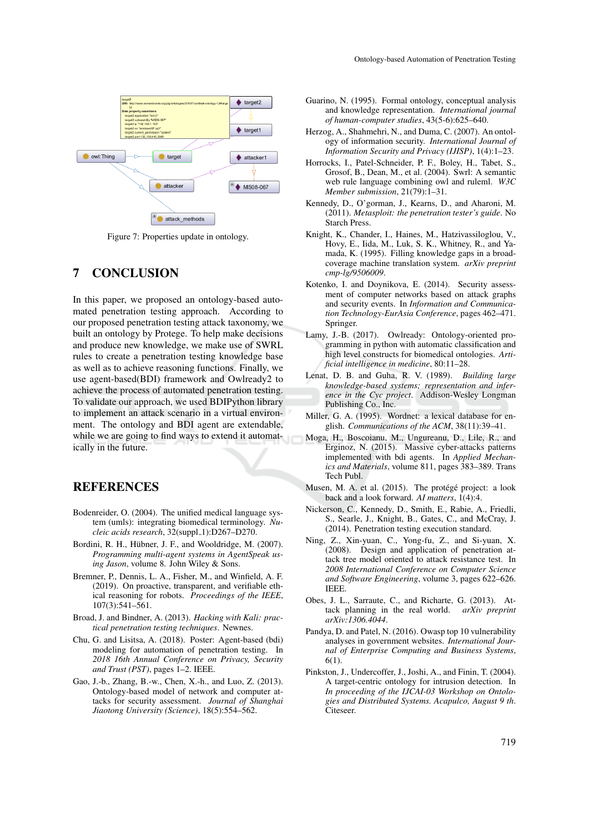

Figure 7: Properties update in ontology.

# 7 CONCLUSION

In this paper, we proposed an ontology-based automated penetration testing approach. According to our proposed penetration testing attack taxonomy, we built an ontology by Protege. To help make decisions and produce new knowledge, we make use of SWRL rules to create a penetration testing knowledge base as well as to achieve reasoning functions. Finally, we use agent-based(BDI) framework and Owlready2 to achieve the process of automated penetration testing. To validate our approach, we used BDIPython library to implement an attack scenario in a virtual environment. The ontology and BDI agent are extendable, while we are going to find ways to extend it automatically in the future.

## **REFERENCES**

- Bodenreider, O. (2004). The unified medical language system (umls): integrating biomedical terminology. *Nucleic acids research*, 32(suppl 1):D267–D270.
- Bordini, R. H., Hübner, J. F., and Wooldridge, M. (2007). *Programming multi-agent systems in AgentSpeak using Jason*, volume 8. John Wiley & Sons.
- Bremner, P., Dennis, L. A., Fisher, M., and Winfield, A. F. (2019). On proactive, transparent, and verifiable ethical reasoning for robots. *Proceedings of the IEEE*, 107(3):541–561.
- Broad, J. and Bindner, A. (2013). *Hacking with Kali: practical penetration testing techniques*. Newnes.
- Chu, G. and Lisitsa, A. (2018). Poster: Agent-based (bdi) modeling for automation of penetration testing. In *2018 16th Annual Conference on Privacy, Security and Trust (PST)*, pages 1–2. IEEE.
- Gao, J.-b., Zhang, B.-w., Chen, X.-h., and Luo, Z. (2013). Ontology-based model of network and computer attacks for security assessment. *Journal of Shanghai Jiaotong University (Science)*, 18(5):554–562.
- Guarino, N. (1995). Formal ontology, conceptual analysis and knowledge representation. *International journal of human-computer studies*, 43(5-6):625–640.
- Herzog, A., Shahmehri, N., and Duma, C. (2007). An ontology of information security. *International Journal of Information Security and Privacy (IJISP)*, 1(4):1–23.
- Horrocks, I., Patel-Schneider, P. F., Boley, H., Tabet, S., Grosof, B., Dean, M., et al. (2004). Swrl: A semantic web rule language combining owl and ruleml. *W3C Member submission*, 21(79):1–31.
- Kennedy, D., O'gorman, J., Kearns, D., and Aharoni, M. (2011). *Metasploit: the penetration tester's guide*. No Starch Press.
- Knight, K., Chander, I., Haines, M., Hatzivassiloglou, V., Hovy, E., Iida, M., Luk, S. K., Whitney, R., and Yamada, K. (1995). Filling knowledge gaps in a broadcoverage machine translation system. *arXiv preprint cmp-lg/9506009*.
- Kotenko, I. and Doynikova, E. (2014). Security assessment of computer networks based on attack graphs and security events. In *Information and Communication Technology-EurAsia Conference*, pages 462–471. Springer.
- Lamy, J.-B. (2017). Owlready: Ontology-oriented programming in python with automatic classification and high level constructs for biomedical ontologies. *Artificial intelligence in medicine*, 80:11–28.
- Lenat, D. B. and Guha, R. V. (1989). *Building large knowledge-based systems; representation and inference in the Cyc project*. Addison-Wesley Longman Publishing Co., Inc.
- Miller, G. A. (1995). Wordnet: a lexical database for english. *Communications of the ACM*, 38(11):39–41.
- Moga, H., Boscoianu, M., Ungureanu, D., Lile, R., and Erginoz, N. (2015). Massive cyber-attacks patterns implemented with bdi agents. In *Applied Mechanics and Materials*, volume 811, pages 383–389. Trans Tech Publ.
- Musen, M. A. et al. (2015). The protégé project: a look back and a look forward. *AI matters*, 1(4):4.
- Nickerson, C., Kennedy, D., Smith, E., Rabie, A., Friedli, S., Searle, J., Knight, B., Gates, C., and McCray, J. (2014). Penetration testing execution standard.
- Ning, Z., Xin-yuan, C., Yong-fu, Z., and Si-yuan, X. (2008). Design and application of penetration attack tree model oriented to attack resistance test. In *2008 International Conference on Computer Science and Software Engineering*, volume 3, pages 622–626. IEEE.
- Obes, J. L., Sarraute, C., and Richarte, G. (2013). Attack planning in the real world. *arXiv preprint* tack planning in the real world. *arXiv:1306.4044*.
- Pandya, D. and Patel, N. (2016). Owasp top 10 vulnerability analyses in government websites. *International Journal of Enterprise Computing and Business Systems*, 6(1).
- Pinkston, J., Undercoffer, J., Joshi, A., and Finin, T. (2004). A target-centric ontology for intrusion detection. In *In proceeding of the IJCAI-03 Workshop on Ontologies and Distributed Systems. Acapulco, August 9 th*. Citeseer.